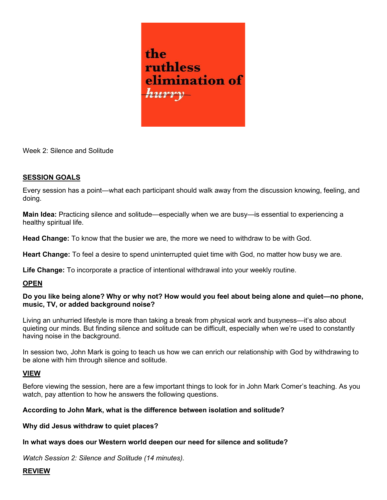

Week 2: Silence and Solitude

# SESSION GOALS

Every session has a point—what each participant should walk away from the discussion knowing, feeling, and doing.

Main Idea: Practicing silence and solitude—especially when we are busy—is essential to experiencing a healthy spiritual life.

Head Change: To know that the busier we are, the more we need to withdraw to be with God.

Heart Change: To feel a desire to spend uninterrupted quiet time with God, no matter how busy we are.

Life Change: To incorporate a practice of intentional withdrawal into your weekly routine.

### **OPEN**

# Do you like being alone? Why or why not? How would you feel about being alone and quiet—no phone, music, TV, or added background noise?

Living an unhurried lifestyle is more than taking a break from physical work and busyness—it's also about quieting our minds. But finding silence and solitude can be difficult, especially when we're used to constantly having noise in the background.

In session two, John Mark is going to teach us how we can enrich our relationship with God by withdrawing to be alone with him through silence and solitude.

### VIEW

Before viewing the session, here are a few important things to look for in John Mark Comer's teaching. As you watch, pay attention to how he answers the following questions.

### According to John Mark, what is the difference between isolation and solitude?

### Why did Jesus withdraw to quiet places?

### In what ways does our Western world deepen our need for silence and solitude?

Watch Session 2: Silence and Solitude (14 minutes).

### REVIEW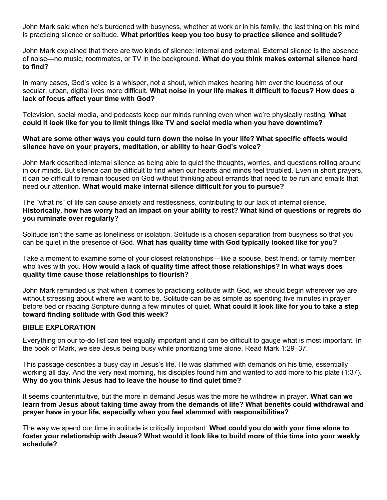John Mark said when he's burdened with busyness, whether at work or in his family, the last thing on his mind is practicing silence or solitude. What priorities keep you too busy to practice silence and solitude?

John Mark explained that there are two kinds of silence: internal and external. External silence is the absence of noise—no music, roommates, or TV in the background. What do you think makes external silence hard to find?

In many cases, God's voice is a whisper, not a shout, which makes hearing him over the loudness of our secular, urban, digital lives more difficult. What noise in your life makes it difficult to focus? How does a lack of focus affect your time with God?

Television, social media, and podcasts keep our minds running even when we're physically resting. What could it look like for you to limit things like TV and social media when you have downtime?

# What are some other ways you could turn down the noise in your life? What specific effects would silence have on your prayers, meditation, or ability to hear God's voice?

John Mark described internal silence as being able to quiet the thoughts, worries, and questions rolling around in our minds. But silence can be difficult to find when our hearts and minds feel troubled. Even in short prayers, it can be difficult to remain focused on God without thinking about errands that need to be run and emails that need our attention. What would make internal silence difficult for you to pursue?

The "what ifs" of life can cause anxiety and restlessness, contributing to our lack of internal silence. Historically, how has worry had an impact on your ability to rest? What kind of questions or regrets do you ruminate over regularly?

Solitude isn't the same as loneliness or isolation. Solitude is a chosen separation from busyness so that you can be quiet in the presence of God. What has quality time with God typically looked like for you?

Take a moment to examine some of your closest relationships—like a spouse, best friend, or family member who lives with you. How would a lack of quality time affect those relationships? In what ways does quality time cause those relationships to flourish?

John Mark reminded us that when it comes to practicing solitude with God, we should begin wherever we are without stressing about where we want to be. Solitude can be as simple as spending five minutes in prayer before bed or reading Scripture during a few minutes of quiet. What could it look like for you to take a step toward finding solitude with God this week?

# BIBLE EXPLORATION

Everything on our to-do list can feel equally important and it can be difficult to gauge what is most important. In the book of Mark, we see Jesus being busy while prioritizing time alone. Read Mark 1:29–37.

This passage describes a busy day in Jesus's life. He was slammed with demands on his time, essentially working all day. And the very next morning, his disciples found him and wanted to add more to his plate (1:37). Why do you think Jesus had to leave the house to find quiet time?

It seems counterintuitive, but the more in demand Jesus was the more he withdrew in prayer. What can we learn from Jesus about taking time away from the demands of life? What benefits could withdrawal and prayer have in your life, especially when you feel slammed with responsibilities?

The way we spend our time in solitude is critically important. What could you do with your time alone to foster your relationship with Jesus? What would it look like to build more of this time into your weekly schedule?